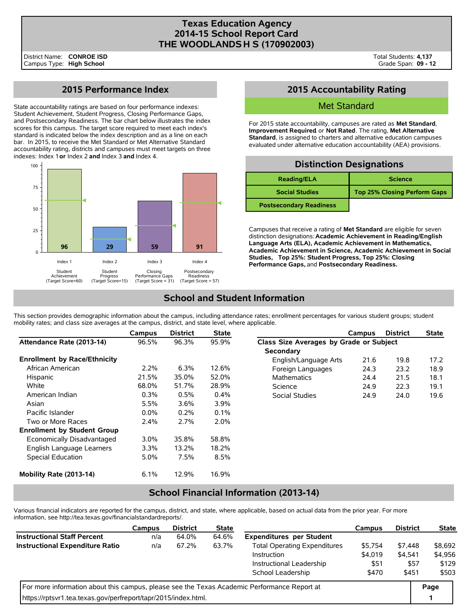#### **Texas Education Agency 2014-15 School Report Card THE WOODLANDS H S (170902003)**

# **2015 Performance Index**

State accountability ratings are based on four performance indexes: Student Achievement, Student Progress, Closing Performance Gaps, and Postsecondary Readiness. The bar chart below illustrates the index scores for this campus. The target score required to meet each index's standard is indicated below the index description and as a line on each bar. In 2015, to receive the Met Standard or Met Alternative Standard accountability rating, districts and campuses must meet targets on three indexes: Index 1 **or** Index 2 **and** Index 3 **and** Index 4.



## **2015 Accountability Rating**

#### Met Standard

For 2015 state accountability, campuses are rated as **Met Standard**, **Improvement Required**, or **Not Rated**. The rating, **Met Alternative Standard**, is assigned to charters and alternative education campuses evaluated under alternative education accountability (AEA) provisions.

## **Distinction Designations**

| <b>Reading/ELA</b>             | <b>Science</b>                      |
|--------------------------------|-------------------------------------|
| <b>Social Studies</b>          | <b>Top 25% Closing Perform Gaps</b> |
| <b>Postsecondary Readiness</b> |                                     |

Campuses that receive a rating of **Met Standard** are eligible for seven distinction designations: **Academic Achievement in Reading/English Language Arts (ELA), Academic Achievement in Mathematics, Academic Achievement in Science, Academic Achievement in Social Studies, Top 25%: Student Progress, Top 25%: Closing Performance Gaps,** and **Postsecondary Readiness.**

# **School and Student Information**

This section provides demographic information about the campus, including attendance rates; enrollment percentages for various student groups; student mobility rates; and class size averages at the campus, district, and state level, where applicable.

|                                     | Campus  | <b>District</b> | <b>State</b> |                                         | Campus | <b>District</b> | <b>State</b> |  |  |
|-------------------------------------|---------|-----------------|--------------|-----------------------------------------|--------|-----------------|--------------|--|--|
| Attendance Rate (2013-14)           | 96.5%   | 96.3%           | 95.9%        | Class Size Averages by Grade or Subject |        |                 |              |  |  |
|                                     |         |                 |              | Secondary                               |        |                 |              |  |  |
| <b>Enrollment by Race/Ethnicity</b> |         |                 |              | English/Language Arts                   | 21.6   | 19.8            | 17.2         |  |  |
| African American                    | $2.2\%$ | 6.3%            | 12.6%        | Foreign Languages                       | 24.3   | 23.2            | 18.9         |  |  |
| Hispanic                            | 21.5%   | 35.0%           | 52.0%        | <b>Mathematics</b>                      | 24.4   | 21.5            | 18.1         |  |  |
| White                               | 68.0%   | 51.7%           | 28.9%        | Science                                 | 24.9   | 22.3            | 19.1         |  |  |
| American Indian                     | 0.3%    | 0.5%            | 0.4%         | Social Studies                          | 24.9   | 24.0            | 19.6         |  |  |
| Asian                               | 5.5%    | 3.6%            | 3.9%         |                                         |        |                 |              |  |  |
| Pacific Islander                    | $0.0\%$ | 0.2%            | 0.1%         |                                         |        |                 |              |  |  |
| Two or More Races                   | 2.4%    | 2.7%            | $2.0\%$      |                                         |        |                 |              |  |  |
| <b>Enrollment by Student Group</b>  |         |                 |              |                                         |        |                 |              |  |  |
| Economically Disadvantaged          | $3.0\%$ | 35.8%           | 58.8%        |                                         |        |                 |              |  |  |
| English Language Learners           | $3.3\%$ | 13.2%           | 18.2%        |                                         |        |                 |              |  |  |
| Special Education                   | 5.0%    | 7.5%            | 8.5%         |                                         |        |                 |              |  |  |
| Mobility Rate (2013-14)             | 6.1%    | 12.9%           | 16.9%        |                                         |        |                 |              |  |  |

## **School Financial Information (2013-14)**

Various financial indicators are reported for the campus, district, and state, where applicable, based on actual data from the prior year. For more information, see http://tea.texas.gov/financialstandardreports/.

|                                                                                             | Campus | <b>District</b> | <b>State</b> |                                     | Campus  | <b>District</b> | <b>State</b> |
|---------------------------------------------------------------------------------------------|--------|-----------------|--------------|-------------------------------------|---------|-----------------|--------------|
| <b>Instructional Staff Percent</b>                                                          | n/a    | 64.0%           | 64.6%        | <b>Expenditures per Student</b>     |         |                 |              |
| <b>Instructional Expenditure Ratio</b>                                                      | n/a    | 67.2%           | 63.7%        | <b>Total Operating Expenditures</b> | \$5.754 | \$7.448         | \$8,692      |
|                                                                                             |        |                 |              | Instruction                         | \$4,019 | \$4,541         | \$4,956      |
|                                                                                             |        |                 |              | Instructional Leadership            | \$51    | \$57            | \$129        |
|                                                                                             |        | \$470           | \$451        | \$503                               |         |                 |              |
| For more information about this campus, please see the Texas Academic Performance Report at |        |                 |              |                                     |         |                 |              |
| https://rptsvr1.tea.texas.gov/perfreport/tapr/2015/index.html.                              |        |                 |              |                                     |         |                 |              |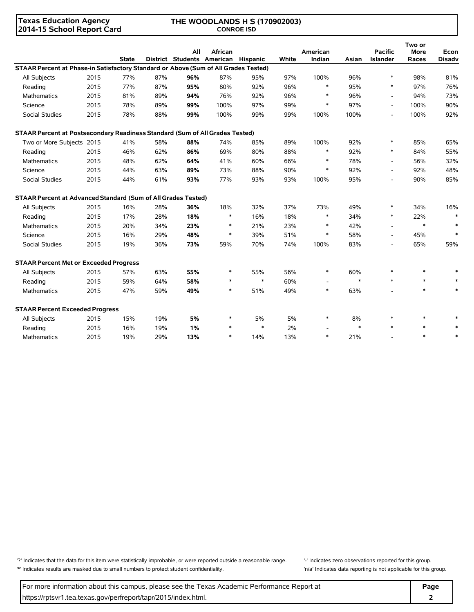**Texas Education Agency 2014-15 School Report Card**

#### **THE WOODLANDS H S (170902003) CONROE ISD**

|                                                                                     |      | <b>State</b> |     | All | African<br>District Students American Hispanic |        | White | American<br>Indian       | Asian  | <b>Pacific</b><br>Islander | Two or<br><b>More</b><br>Races | Econ<br><b>Disadv</b> |
|-------------------------------------------------------------------------------------|------|--------------|-----|-----|------------------------------------------------|--------|-------|--------------------------|--------|----------------------------|--------------------------------|-----------------------|
| STAAR Percent at Phase-in Satisfactory Standard or Above (Sum of All Grades Tested) |      |              |     |     |                                                |        |       |                          |        |                            |                                |                       |
| All Subjects                                                                        | 2015 | 77%          | 87% | 96% | 87%                                            | 95%    | 97%   | 100%                     | 96%    | $\ast$                     | 98%                            | 81%                   |
| Reading                                                                             | 2015 | 77%          | 87% | 95% | 80%                                            | 92%    | 96%   | $\ast$                   | 95%    | $\ast$                     | 97%                            | 76%                   |
| <b>Mathematics</b>                                                                  | 2015 | 81%          | 89% | 94% | 76%                                            | 92%    | 96%   | $\ast$                   | 96%    | $\blacksquare$             | 94%                            | 73%                   |
| Science                                                                             | 2015 | 78%          | 89% | 99% | 100%                                           | 97%    | 99%   | $\ast$                   | 97%    | $\overline{\phantom{a}}$   | 100%                           | 90%                   |
| Social Studies                                                                      | 2015 | 78%          | 88% | 99% | 100%                                           | 99%    | 99%   | 100%                     | 100%   | $\overline{\phantom{a}}$   | 100%                           | 92%                   |
| STAAR Percent at Postsecondary Readiness Standard (Sum of All Grades Tested)        |      |              |     |     |                                                |        |       |                          |        |                            |                                |                       |
| Two or More Subjects 2015                                                           |      | 41%          | 58% | 88% | 74%                                            | 85%    | 89%   | 100%                     | 92%    | $\ast$                     | 85%                            | 65%                   |
| Reading                                                                             | 2015 | 46%          | 62% | 86% | 69%                                            | 80%    | 88%   | $\ast$                   | 92%    | $\ast$                     | 84%                            | 55%                   |
| Mathematics                                                                         | 2015 | 48%          | 62% | 64% | 41%                                            | 60%    | 66%   | $\ast$                   | 78%    | $\overline{\phantom{a}}$   | 56%                            | 32%                   |
| Science                                                                             | 2015 | 44%          | 63% | 89% | 73%                                            | 88%    | 90%   | $\ast$                   | 92%    | $\overline{\phantom{a}}$   | 92%                            | 48%                   |
| Social Studies                                                                      | 2015 | 44%          | 61% | 93% | 77%                                            | 93%    | 93%   | 100%                     | 95%    | $\overline{\phantom{a}}$   | 90%                            | 85%                   |
| STAAR Percent at Advanced Standard (Sum of All Grades Tested)                       |      |              |     |     |                                                |        |       |                          |        |                            |                                |                       |
| All Subjects                                                                        | 2015 | 16%          | 28% | 36% | 18%                                            | 32%    | 37%   | 73%                      | 49%    | $\ast$                     | 34%                            | 16%                   |
| Reading                                                                             | 2015 | 17%          | 28% | 18% | $\ast$                                         | 16%    | 18%   | $\ast$                   | 34%    | $\ast$                     | 22%                            | $\ast$                |
| <b>Mathematics</b>                                                                  | 2015 | 20%          | 34% | 23% | $\ast$                                         | 21%    | 23%   | $\ast$                   | 42%    | $\overline{\phantom{a}}$   | $\ast$                         | $\ast$                |
| Science                                                                             | 2015 | 16%          | 29% | 48% | $\ast$                                         | 39%    | 51%   | $\ast$                   | 58%    | $\overline{a}$             | 45%                            | $\ast$                |
| <b>Social Studies</b>                                                               | 2015 | 19%          | 36% | 73% | 59%                                            | 70%    | 74%   | 100%                     | 83%    | $\overline{\phantom{a}}$   | 65%                            | 59%                   |
| <b>STAAR Percent Met or Exceeded Progress</b>                                       |      |              |     |     |                                                |        |       |                          |        |                            |                                |                       |
| All Subjects                                                                        | 2015 | 57%          | 63% | 55% | $\ast$                                         | 55%    | 56%   | $\ast$                   | 60%    | $\ast$                     | $\ast$                         |                       |
| Reading                                                                             | 2015 | 59%          | 64% | 58% | $\ast$                                         | $\ast$ | 60%   | $\overline{\phantom{a}}$ | $\ast$ | $\ast$                     | $\ast$                         |                       |
| <b>Mathematics</b>                                                                  | 2015 | 47%          | 59% | 49% | $\ast$                                         | 51%    | 49%   | $\ast$                   | 63%    |                            | $\ast$                         | $\ast$                |
| <b>STAAR Percent Exceeded Progress</b>                                              |      |              |     |     |                                                |        |       |                          |        |                            |                                |                       |
| All Subjects                                                                        | 2015 | 15%          | 19% | 5%  | $\ast$                                         | 5%     | 5%    | $\ast$                   | 8%     | $\ast$                     | $\ast$                         |                       |
| Reading                                                                             | 2015 | 16%          | 19% | 1%  | $\ast$                                         | $\ast$ | 2%    |                          | $\ast$ | $\ast$                     | $\ast$                         |                       |
| Mathematics                                                                         | 2015 | 19%          | 29% | 13% | $\ast$                                         | 14%    | 13%   | $\ast$                   | 21%    |                            | $\ast$                         |                       |

'?' Indicates that the data for this item were statistically improbable, or were reported outside a reasonable range. '' Indicates zero observations reported for this group. '\*' Indicates results are masked due to small numbers to protect student confidentiality. 'n/a' Indicates data reporting is not applicable for this group.

For more information about this campus, please see the Texas Academic Performance Report at **Page Page** https://rptsvr1.tea.texas.gov/perfreport/tapr/2015/index.html. **2**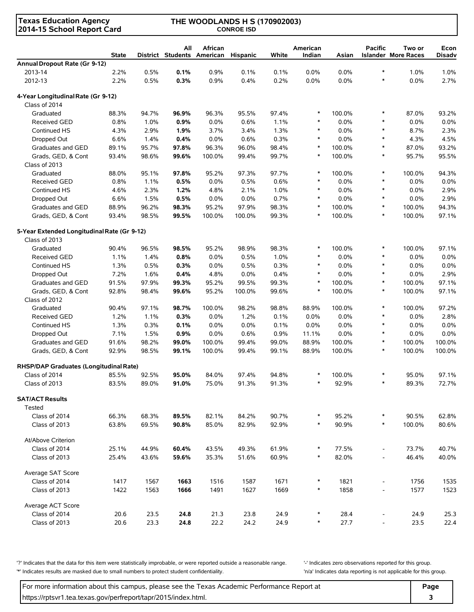| <b>Texas Education Agency</b><br>2014-15 School Report Card |              | THE WOODLANDS H S (170902003)<br><b>CONROE ISD</b> |                                   |         |                 |       |                    |        |                          |                                      |                       |
|-------------------------------------------------------------|--------------|----------------------------------------------------|-----------------------------------|---------|-----------------|-------|--------------------|--------|--------------------------|--------------------------------------|-----------------------|
|                                                             | <b>State</b> |                                                    | All<br>District Students American | African | <b>Hispanic</b> | White | American<br>Indian | Asian  | <b>Pacific</b>           | Two or<br><b>Islander More Races</b> | Econ<br><b>Disadv</b> |
| Annual Dropout Rate (Gr 9-12)                               |              |                                                    |                                   |         |                 |       |                    |        |                          |                                      |                       |
| 2013-14                                                     | 2.2%         | 0.5%                                               | 0.1%                              | 0.9%    | 0.1%            | 0.1%  | 0.0%               | 0.0%   | $\ast$                   | 1.0%                                 | 1.0%                  |
| 2012-13                                                     | 2.2%         | 0.5%                                               | 0.3%                              | 0.9%    | 0.4%            | 0.2%  | 0.0%               | 0.0%   | $\ast$                   | 0.0%                                 | 2.7%                  |
| 4-Year Longitudinal Rate (Gr 9-12)                          |              |                                                    |                                   |         |                 |       |                    |        |                          |                                      |                       |
| Class of 2014                                               |              |                                                    |                                   |         |                 |       |                    |        |                          |                                      |                       |
| Graduated                                                   | 88.3%        | 94.7%                                              | 96.9%                             | 96.3%   | 95.5%           | 97.4% | $\ast$             | 100.0% | $\ast$                   | 87.0%                                | 93.2%                 |
| <b>Received GED</b>                                         | 0.8%         | 1.0%                                               | 0.9%                              | 0.0%    | 0.6%            | 1.1%  | $\ast$             | 0.0%   | $\ast$                   | 0.0%                                 | 0.0%                  |
| Continued HS                                                | 4.3%         | 2.9%                                               | 1.9%                              | 3.7%    | 3.4%            | 1.3%  | $\ast$             | 0.0%   | $\ast$                   | 8.7%                                 | 2.3%                  |
| Dropped Out                                                 | 6.6%         | 1.4%                                               | 0.4%                              | 0.0%    | 0.6%            | 0.3%  | $\ast$             | 0.0%   | $\ast$                   | 4.3%                                 | 4.5%                  |
| Graduates and GED                                           | 89.1%        | 95.7%                                              | 97.8%                             | 96.3%   | 96.0%           | 98.4% | $\ast$             | 100.0% | $\ast$                   | 87.0%                                | 93.2%                 |
| Grads, GED, & Cont<br>Class of 2013                         | 93.4%        | 98.6%                                              | 99.6%                             | 100.0%  | 99.4%           | 99.7% | $\ast$             | 100.0% | $\ast$                   | 95.7%                                | 95.5%                 |
| Graduated                                                   | 88.0%        | 95.1%                                              | 97.8%                             | 95.2%   | 97.3%           | 97.7% | $\ast$             | 100.0% | $\ast$                   | 100.0%                               | 94.3%                 |
| <b>Received GED</b>                                         | 0.8%         | 1.1%                                               | 0.5%                              | 0.0%    | 0.5%            | 0.6%  | $\ast$             | 0.0%   | $\ast$                   | 0.0%                                 | 0.0%                  |
| Continued HS                                                | 4.6%         | 2.3%                                               | 1.2%                              | 4.8%    | 2.1%            | 1.0%  | $\ast$             | 0.0%   | $\ast$                   | 0.0%                                 | 2.9%                  |
| Dropped Out                                                 | 6.6%         | 1.5%                                               | 0.5%                              | $0.0\%$ | 0.0%            | 0.7%  | $\ast$             | 0.0%   | $\ast$                   | 0.0%                                 | 2.9%                  |
| Graduates and GED                                           | 88.9%        | 96.2%                                              | 98.3%                             | 95.2%   | 97.9%           | 98.3% | $\ast$             | 100.0% | $\ast$                   | 100.0%                               | 94.3%                 |
| Grads, GED, & Cont                                          | 93.4%        | 98.5%                                              | 99.5%                             | 100.0%  | 100.0%          | 99.3% | $\ast$             | 100.0% | $\ast$                   | 100.0%                               | 97.1%                 |
| 5-Year Extended Longitudinal Rate (Gr 9-12)                 |              |                                                    |                                   |         |                 |       |                    |        |                          |                                      |                       |
| Class of 2013                                               |              |                                                    |                                   |         |                 |       |                    |        |                          |                                      |                       |
| Graduated                                                   | 90.4%        | 96.5%                                              | 98.5%                             | 95.2%   | 98.9%           | 98.3% | $\ast$             | 100.0% | $\ast$                   | 100.0%                               | 97.1%                 |
| <b>Received GED</b>                                         | 1.1%         | 1.4%                                               | 0.8%                              | $0.0\%$ | 0.5%            | 1.0%  | $\ast$             | 0.0%   | $\ast$                   | 0.0%                                 | 0.0%                  |
| Continued HS                                                | 1.3%         | 0.5%                                               | 0.3%                              | 0.0%    | 0.5%            | 0.3%  | $\ast$             | 0.0%   | $\ast$                   | 0.0%                                 | 0.0%                  |
| Dropped Out                                                 | 7.2%         | 1.6%                                               | 0.4%                              | 4.8%    | 0.0%            | 0.4%  | $\ast$             | 0.0%   | $\ast$                   | $0.0\%$                              | 2.9%                  |
| Graduates and GED                                           | 91.5%        | 97.9%                                              | 99.3%                             | 95.2%   | 99.5%           | 99.3% | $\ast$             | 100.0% | $\ast$                   | 100.0%                               | 97.1%                 |
| Grads, GED, & Cont                                          | 92.8%        | 98.4%                                              | 99.6%                             | 95.2%   | 100.0%          | 99.6% | $\ast$             | 100.0% | $\ast$                   | 100.0%                               | 97.1%                 |
| Class of 2012                                               |              |                                                    |                                   |         |                 |       |                    |        |                          |                                      |                       |
| Graduated                                                   | 90.4%        | 97.1%                                              | 98.7%                             | 100.0%  | 98.2%           | 98.8% | 88.9%              | 100.0% | $\ast$                   | 100.0%                               | 97.2%                 |
| <b>Received GED</b>                                         | 1.2%         | 1.1%                                               | 0.3%                              | 0.0%    | 1.2%            | 0.1%  | 0.0%               | 0.0%   | $\ast$                   | 0.0%                                 | 2.8%                  |
| Continued HS                                                | 1.3%         | 0.3%                                               | 0.1%                              | $0.0\%$ | 0.0%            | 0.1%  | 0.0%               | 0.0%   | $\ast$                   | $0.0\%$                              | 0.0%                  |
| Dropped Out                                                 | 7.1%         | 1.5%                                               | 0.9%                              | 0.0%    | 0.6%            | 0.9%  | 11.1%              | 0.0%   | $\ast$                   | 0.0%                                 | 0.0%                  |
| Graduates and GED                                           | 91.6%        | 98.2%                                              | 99.0%                             | 100.0%  | 99.4%           | 99.0% | 88.9%              | 100.0% | $\ast$                   | 100.0%                               | 100.0%                |
| Grads, GED, & Cont                                          | 92.9%        | 98.5%                                              | 99.1%                             | 100.0%  | 99.4%           | 99.1% | 88.9%              | 100.0% | $\ast$                   | 100.0%                               | 100.0%                |
| RHSP/DAP Graduates (Longitudinal Rate)                      |              |                                                    |                                   |         |                 |       |                    |        |                          |                                      |                       |
| Class of 2014                                               | 85.5%        | 92.5%                                              | 95.0%                             | 84.0%   | 97.4%           | 94.8% | ∗                  | 100.0% | *                        | 95.0%                                | 97.1%                 |
| Class of 2013                                               | 83.5%        | 89.0%                                              | 91.0%                             | 75.0%   | 91.3%           | 91.3% | $\ast$             | 92.9%  | $\ast$                   | 89.3%                                | 72.7%                 |
| <b>SAT/ACT Results</b>                                      |              |                                                    |                                   |         |                 |       |                    |        |                          |                                      |                       |
| Tested                                                      |              |                                                    |                                   |         |                 |       |                    |        |                          |                                      |                       |
| Class of 2014                                               | 66.3%        | 68.3%                                              | 89.5%                             | 82.1%   | 84.2%           | 90.7% |                    | 95.2%  | $\ast$                   | 90.5%                                | 62.8%                 |
| Class of 2013                                               | 63.8%        | 69.5%                                              | 90.8%                             | 85.0%   | 82.9%           | 92.9% | $\ast$             | 90.9%  | $\ast$                   | 100.0%                               | 80.6%                 |
| At/Above Criterion                                          |              |                                                    |                                   |         |                 |       |                    |        |                          |                                      |                       |
| Class of 2014                                               | 25.1%        | 44.9%                                              | 60.4%                             | 43.5%   | 49.3%           | 61.9% | $\ast$             | 77.5%  | $\overline{\phantom{0}}$ | 73.7%                                | 40.7%                 |
| Class of 2013                                               | 25.4%        | 43.6%                                              | 59.6%                             | 35.3%   | 51.6%           | 60.9% | $\ast$             | 82.0%  |                          | 46.4%                                | 40.0%                 |
| Average SAT Score                                           |              |                                                    |                                   |         |                 |       |                    |        |                          |                                      |                       |
| Class of 2014                                               | 1417         | 1567                                               | 1663                              | 1516    | 1587            | 1671  | $\ast$             | 1821   | $\centerdot$             | 1756                                 | 1535                  |
| Class of 2013                                               | 1422         | 1563                                               | 1666                              | 1491    | 1627            | 1669  | $\ast$             | 1858   |                          | 1577                                 | 1523                  |
| Average ACT Score                                           |              |                                                    |                                   |         |                 |       |                    |        |                          |                                      |                       |
| Class of 2014                                               | 20.6         | 23.5                                               | 24.8                              | 21.3    | 23.8            | 24.9  | $\ast$             | 28.4   | $\overline{\phantom{0}}$ | 24.9                                 | 25.3                  |
| Class of 2013                                               | 20.6         | 23.3                                               | 24.8                              | 22.2    | 24.2            | 24.9  | $\ast$             | 27.7   | $\overline{a}$           | 23.5                                 | 22.4                  |

'?' Indicates that the data for this item were statistically improbable, or were reported outside a reasonable range. | '-' Indicates zero observations reported for this group. '\*' Indicates results are masked due to small numbers to protect student confidentiality. 'n/a' Indicates data reporting is not applicable for this group.